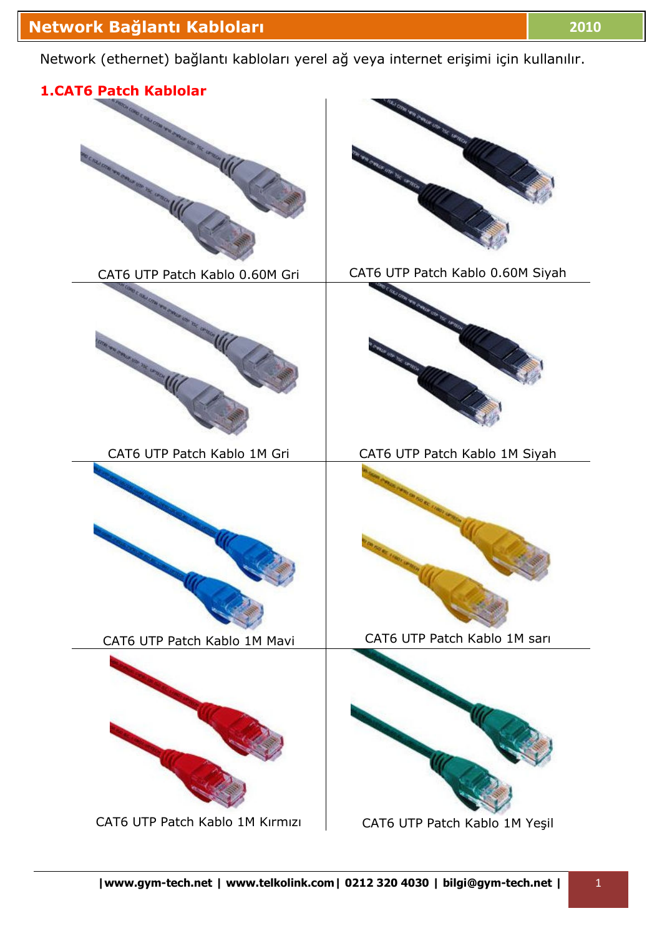Network (ethernet) bağlantı kabloları yerel ağ veya internet erişimi için kullanılır.

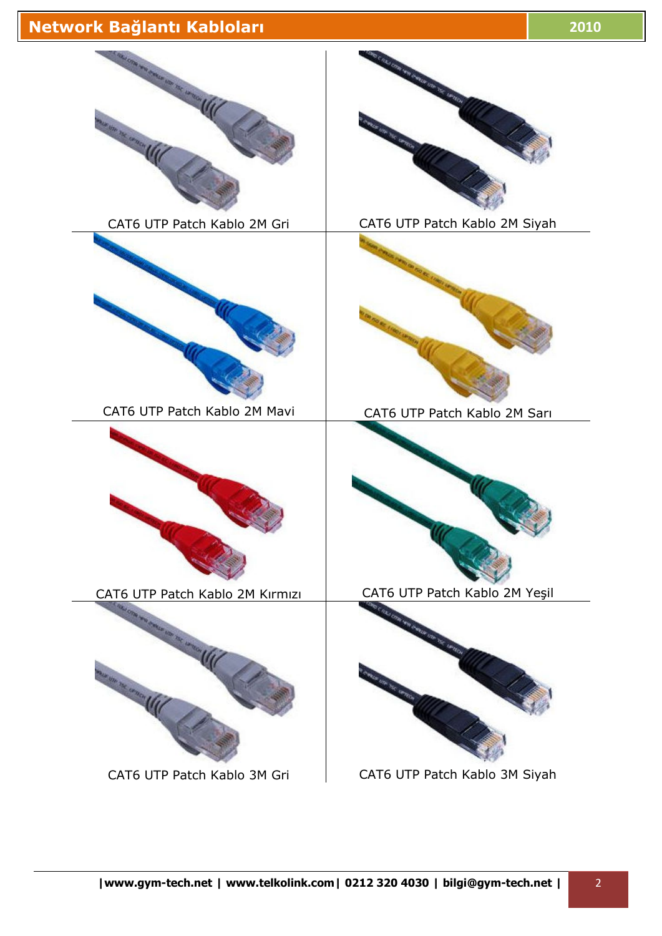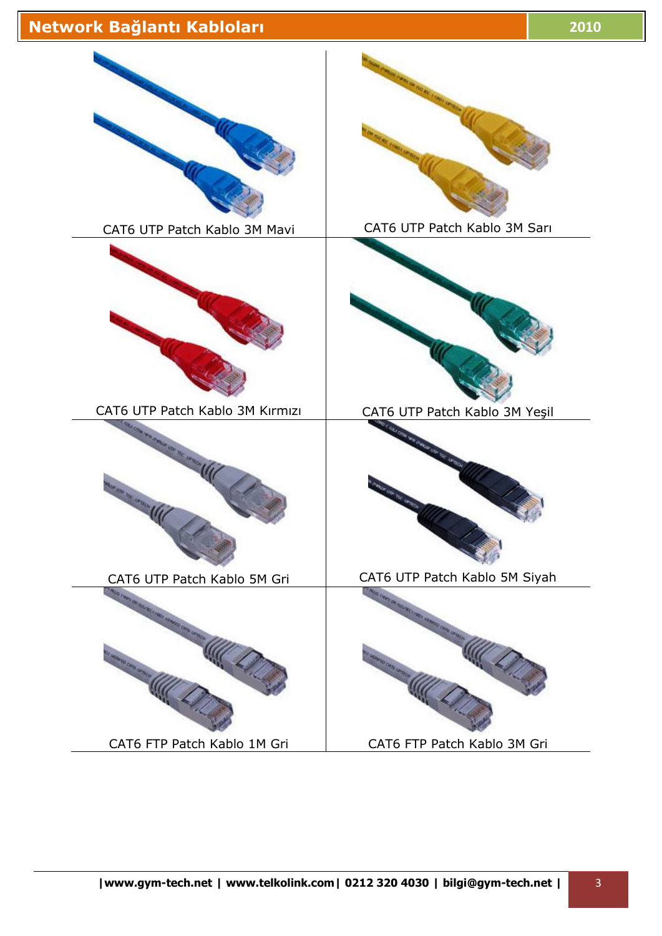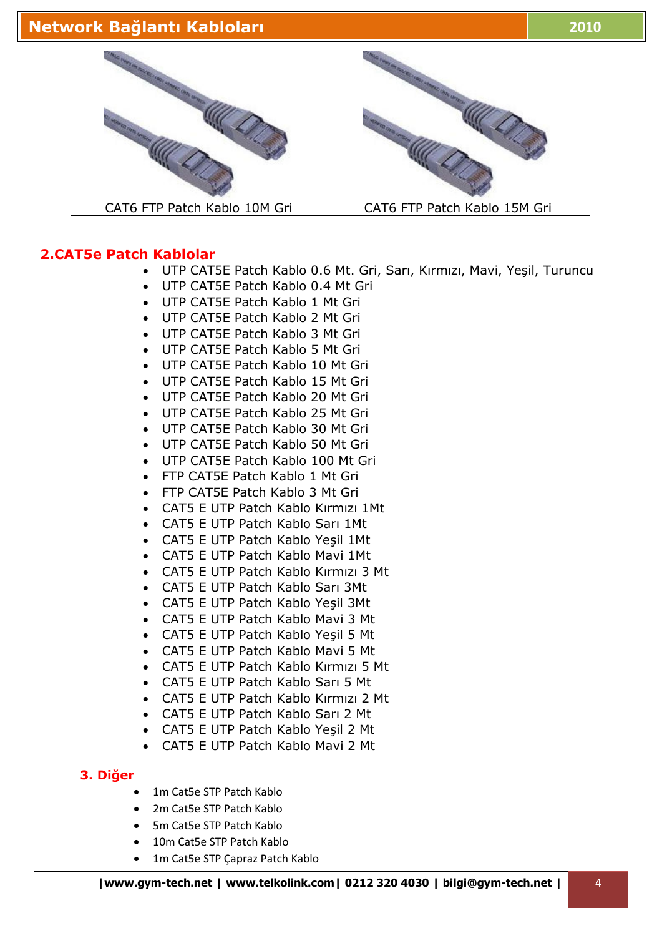

#### **2.CAT5e Patch Kablolar**

- UTP CAT5E Patch Kablo 0.6 Mt. Gri, Sarı, Kırmızı, Mavi, Yeşil, Turuncu
- UTP CAT5E Patch Kablo 0.4 Mt Gri
- UTP CAT5E Patch Kablo 1 Mt Gri
- UTP CAT5E Patch Kablo 2 Mt Gri
- UTP CAT5E Patch Kablo 3 Mt Gri
- UTP CAT5E Patch Kablo 5 Mt Gri
- UTP CAT5E Patch Kablo 10 Mt Gri
- UTP CAT5E Patch Kablo 15 Mt Gri
- UTP CAT5E Patch Kablo 20 Mt Gri
- UTP CAT5E Patch Kablo 25 Mt Gri
- UTP CAT5E Patch Kablo 30 Mt Gri
- UTP CAT5E Patch Kablo 50 Mt Gri
- UTP CAT5E Patch Kablo 100 Mt Gri
- FTP CAT5E Patch Kablo 1 Mt Gri
- FTP CAT5E Patch Kablo 3 Mt Gri
- CAT5 E UTP Patch Kablo Kırmızı 1Mt
- CAT5 E UTP Patch Kablo Sarı 1Mt
- CAT5 E UTP Patch Kablo Yeşil 1Mt
- CAT5 E UTP Patch Kablo Mavi 1Mt
- CAT5 E UTP Patch Kablo Kırmızı 3 Mt
- CAT5 E UTP Patch Kablo Sarı 3Mt
- CAT5 E UTP Patch Kablo Yeşil 3Mt
- CAT5 E UTP Patch Kablo Mavi 3 Mt
- CAT5 E UTP Patch Kablo Yeşil 5 Mt
- CAT5 E UTP Patch Kablo Mavi 5 Mt
- CAT5 E UTP Patch Kablo Kırmızı 5 Mt
- CAT5 E UTP Patch Kablo Sarı 5 Mt
- CAT5 E UTP Patch Kablo Kırmızı 2 Mt
- CAT5 E UTP Patch Kablo Sarı 2 Mt
- CAT5 E UTP Patch Kablo Yeşil 2 Mt
- CAT5 E UTP Patch Kablo Mavi 2 Mt

#### **3. Diğer**

- 1m Cat5e STP Patch Kablo
- 2m Cat5e STP Patch Kablo
- 5m Cat5e STP Patch Kablo
- 10m Cat5e STP Patch Kablo
- 1m Cat5e STP Çapraz Patch Kablo



CAT6 FTP Patch Kablo 10M Gri | CAT6 FTP Patch Kablo 15M Gri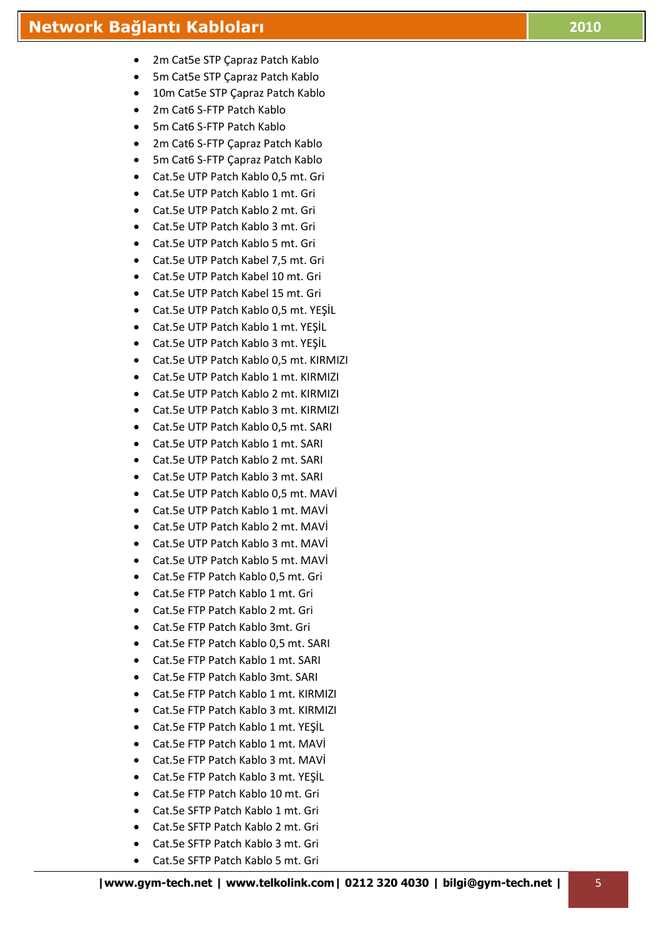- 5m Cat5e STP Çapraz Patch Kablo
- 10m Cat5e STP Capraz Patch Kablo
- 2m Cat6 S-FTP Patch Kablo
- 5m Cat6 S-FTP Patch Kablo
- 2m Cat6 S-FTP Çapraz Patch Kablo
- 5m Cat6 S-FTP Çapraz Patch Kablo
- Cat.5e UTP Patch Kablo 0,5 mt. Gri
- Cat.5e UTP Patch Kablo 1 mt. Gri
- Cat.5e UTP Patch Kablo 2 mt. Gri
- Cat.5e UTP Patch Kablo 3 mt. Gri
- Cat.5e UTP Patch Kablo 5 mt. Gri
- Cat.5e UTP Patch Kabel 7,5 mt. Gri
- Cat.5e UTP Patch Kabel 10 mt. Gri
- Cat.5e UTP Patch Kabel 15 mt. Gri
- Cat.5e UTP Patch Kablo 0,5 mt. YEŞİL
- Cat.5e UTP Patch Kablo 1 mt. YEŞİL
- Cat.5e UTP Patch Kablo 3 mt. YEŞİL
- Cat.5e UTP Patch Kablo 0,5 mt. KIRMIZI
- Cat.5e UTP Patch Kablo 1 mt. KIRMIZI
- Cat.5e UTP Patch Kablo 2 mt. KIRMIZI
- Cat.5e UTP Patch Kablo 3 mt. KIRMIZI
- Cat.5e UTP Patch Kablo 0,5 mt. SARI
- Cat.5e UTP Patch Kablo 1 mt. SARI
- Cat.5e UTP Patch Kablo 2 mt. SARI
- Cat.5e UTP Patch Kablo 3 mt. SARI
- Cat.5e UTP Patch Kablo 0,5 mt. MAVİ
- Cat.5e UTP Patch Kablo 1 mt. MAVİ
- Cat.5e UTP Patch Kablo 2 mt. MAVİ
- Cat.5e UTP Patch Kablo 3 mt. MAVİ
- Cat.5e UTP Patch Kablo 5 mt. MAVİ
- Cat.5e FTP Patch Kablo 0,5 mt. Gri
- Cat.5e FTP Patch Kablo 1 mt. Gri
- Cat.5e FTP Patch Kablo 2 mt. Gri
- Cat.5e FTP Patch Kablo 3mt. Gri
- Cat.5e FTP Patch Kablo 0,5 mt. SARI
- Cat.5e FTP Patch Kablo 1 mt. SARI
- Cat.5e FTP Patch Kablo 3mt. SARI
- Cat.5e FTP Patch Kablo 1 mt. KIRMIZI
- Cat.5e FTP Patch Kablo 3 mt. KIRMIZI
- Cat.5e FTP Patch Kablo 1 mt. YEŞİL
- Cat.5e FTP Patch Kablo 1 mt. MAVİ
- Cat.5e FTP Patch Kablo 3 mt. MAVİ
- Cat.5e FTP Patch Kablo 3 mt. YEŞİL
- Cat.5e FTP Patch Kablo 10 mt. Gri
- Cat.5e SFTP Patch Kablo 1 mt. Gri
- Cat.5e SFTP Patch Kablo 2 mt. Gri
- Cat.5e SFTP Patch Kablo 3 mt. Gri
- Cat.5e SFTP Patch Kablo 5 mt. Gri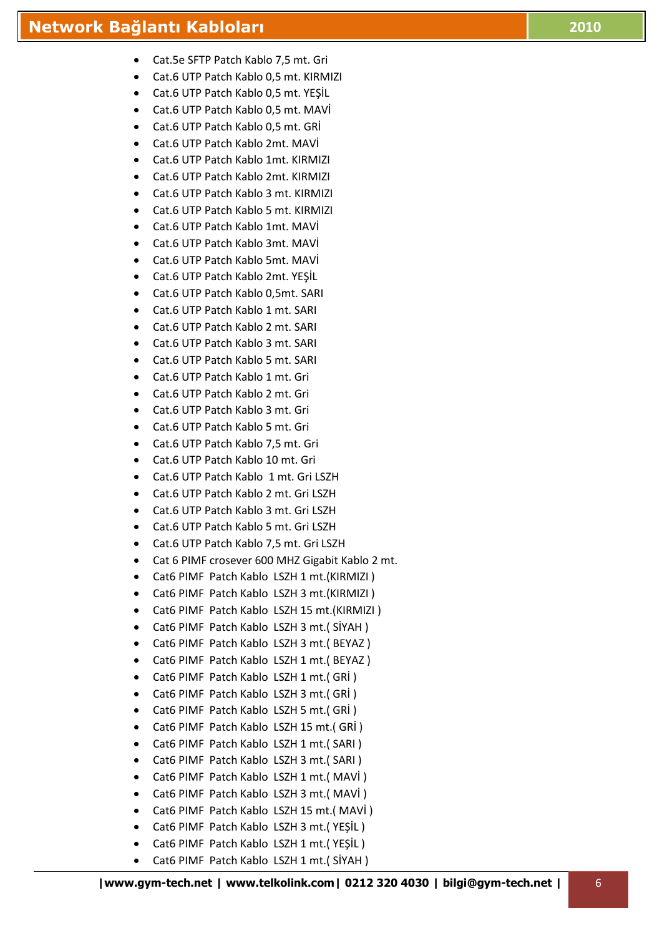- Cat.5e SFTP Patch Kablo 7,5 mt. Gri
- Cat.6 UTP Patch Kablo 0,5 mt. KIRMIZI
- Cat.6 UTP Patch Kablo 0,5 mt. YEŞİL
- Cat.6 UTP Patch Kablo 0,5 mt. MAVİ
- Cat.6 UTP Patch Kablo 0,5 mt. GRİ
- Cat.6 UTP Patch Kablo 2mt. MAVİ
- Cat.6 UTP Patch Kablo 1mt. KIRMIZI
- Cat.6 UTP Patch Kablo 2mt. KIRMIZI
- Cat.6 UTP Patch Kablo 3 mt. KIRMIZI
- Cat.6 UTP Patch Kablo 5 mt. KIRMIZI
- Cat.6 UTP Patch Kablo 1mt. MAVİ
- Cat.6 UTP Patch Kablo 3mt. MAVİ
- Cat.6 UTP Patch Kablo 5mt. MAVİ
- Cat.6 UTP Patch Kablo 2mt. YEŞİL
- Cat.6 UTP Patch Kablo 0,5mt. SARI
- Cat.6 UTP Patch Kablo 1 mt. SARI
- Cat.6 UTP Patch Kablo 2 mt. SARI
- Cat.6 UTP Patch Kablo 3 mt. SARI
- Cat.6 UTP Patch Kablo 5 mt. SARI
- Cat.6 UTP Patch Kablo 1 mt. Gri
- Cat.6 UTP Patch Kablo 2 mt. Gri
- Cat.6 UTP Patch Kablo 3 mt. Gri
- Cat.6 UTP Patch Kablo 5 mt. Gri
- Cat.6 UTP Patch Kablo 7,5 mt. Gri
- Cat.6 UTP Patch Kablo 10 mt. Gri
- Cat.6 UTP Patch Kablo 1 mt. Gri LSZH
- Cat.6 UTP Patch Kablo 2 mt. Gri LSZH
- Cat.6 UTP Patch Kablo 3 mt. Gri LSZH
- Cat.6 UTP Patch Kablo 5 mt. Gri LSZH
- Cat.6 UTP Patch Kablo 7,5 mt. Gri LSZH
- Cat 6 PIMF crosever 600 MHZ Gigabit Kablo 2 mt.
- Cat6 PIMF Patch Kablo LSZH 1 mt.(KIRMIZI )
- Cat6 PIMF Patch Kablo LSZH 3 mt.(KIRMIZI )
- Cat6 PIMF Patch Kablo LSZH 15 mt.(KIRMIZI )
- Cat6 PIMF Patch Kablo LSZH 3 mt.( SİYAH )
- Cat6 PIMF Patch Kablo LSZH 3 mt.( BEYAZ )
- Cat6 PIMF Patch Kablo LSZH 1 mt.( BEYAZ )
- Cat6 PIMF Patch Kablo LSZH 1 mt.( GRİ )
- Cat6 PIMF Patch Kablo LSZH 3 mt.( GRİ )
- Cat6 PIMF Patch Kablo LSZH 5 mt.( GRİ )
- Cat6 PIMF Patch Kablo LSZH 15 mt.( GRİ )
- Cat6 PIMF Patch Kablo LSZH 1 mt.( SARI )
- Cat6 PIMF Patch Kablo LSZH 3 mt.( SARI )
- Cat6 PIMF Patch Kablo LSZH 1 mt.( MAVİ )
- Cat6 PIMF Patch Kablo LSZH 3 mt.( MAVİ )
- Cat6 PIMF Patch Kablo LSZH 15 mt.( MAVİ )
- Cat6 PIMF Patch Kablo LSZH 3 mt.( YEŞİL )
- Cat6 PIMF Patch Kablo LSZH 1 mt.( YEŞİL )
- Cat6 PIMF Patch Kablo LSZH 1 mt.( SİYAH )